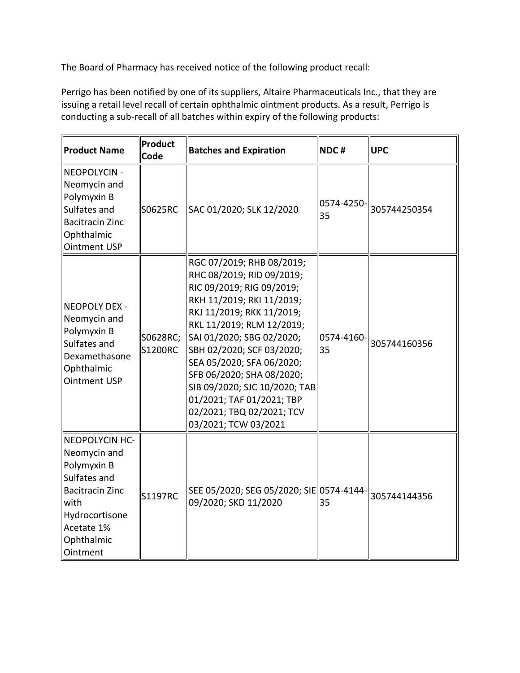The Board of Pharmacy has received notice of the following product recall:

 Perrigo has been notified by one of its suppliers, Altaire Pharmaceuticals Inc., that they are issuing a retail level recall of certain ophthalmic ointment products. As a result, Perrigo is conducting a sub-recall of all batches within expiry of the following products:

| <b>Product Name</b>                                                                                                                                              | Product<br>Code            | <b>Batches and Expiration</b>                                                                                                                                                                                                                                                                                                                                                                                     | NDC#             | <b>UPC</b>   |
|------------------------------------------------------------------------------------------------------------------------------------------------------------------|----------------------------|-------------------------------------------------------------------------------------------------------------------------------------------------------------------------------------------------------------------------------------------------------------------------------------------------------------------------------------------------------------------------------------------------------------------|------------------|--------------|
| NEOPOLYCIN -<br>Neomycin and<br>Polymyxin B<br>Sulfates and<br>Bacitracin Zinc<br>Ophthalmic<br><b>Ointment USP</b>                                              | S0625RC                    | SAC 01/2020; SLK 12/2020                                                                                                                                                                                                                                                                                                                                                                                          | 0574-4250-<br>35 | 305744250354 |
| NEOPOLY DEX -<br>Neomycin and<br>Polymyxin B<br>Sulfates and<br>Dexamethasone<br>Ophthalmic<br>Ointment USP                                                      | S0628RC;<br><b>S1200RC</b> | RGC 07/2019; RHB 08/2019;<br>RHC 08/2019; RID 09/2019;<br>RIC 09/2019; RIG 09/2019;<br>RKH 11/2019; RKI 11/2019;<br>RKJ 11/2019; RKK 11/2019;<br>RKL 11/2019; RLM 12/2019;<br>SAI 01/2020; SBG 02/2020;<br>SBH 02/2020; SCF 03/2020;<br>SEA 05/2020; SFA 06/2020;<br>SFB 06/2020; SHA 08/2020;<br>SIB 09/2020; SJC 10/2020; TAB<br>01/2021; TAF 01/2021; TBP<br>02/2021; TBQ 02/2021; TCV<br>03/2021; TCW 03/2021 | 0574-4160-<br>35 | 305744160356 |
| <b>NEOPOLYCIN HC-</b><br>Neomycin and<br>Polymyxin B<br>Sulfates and<br><b>Bacitracin Zinc</b><br>with<br>Hydrocortisone<br>Acetate 1%<br>Ophthalmic<br>Ointment | <b>S1197RC</b>             | SEE 05/2020; SEG 05/2020; SIE 0574-4144-<br>09/2020; SKD 11/2020                                                                                                                                                                                                                                                                                                                                                  | 35               | 305744144356 |